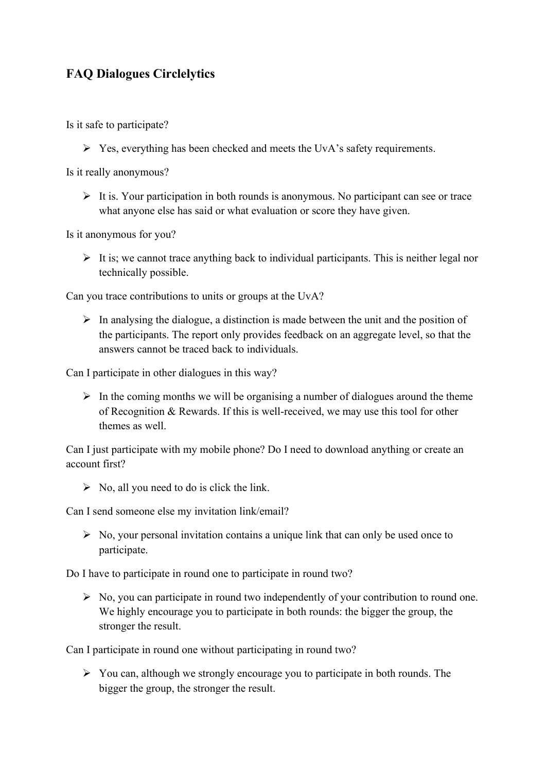## **FAQ Dialogues Circlelytics**

Is it safe to participate?

 $\triangleright$  Yes, everything has been checked and meets the UvA's safety requirements.

Is it really anonymous?

 $\triangleright$  It is. Your participation in both rounds is anonymous. No participant can see or trace what anyone else has said or what evaluation or score they have given.

Is it anonymous for you?

 $\triangleright$  It is; we cannot trace anything back to individual participants. This is neither legal nor technically possible.

Can you trace contributions to units or groups at the UvA?

 $\triangleright$  In analysing the dialogue, a distinction is made between the unit and the position of the participants. The report only provides feedback on an aggregate level, so that the answers cannot be traced back to individuals.

Can I participate in other dialogues in this way?

 $\triangleright$  In the coming months we will be organising a number of dialogues around the theme of Recognition & Rewards. If this is well-received, we may use this tool for other themes as well.

Can I just participate with my mobile phone? Do I need to download anything or create an account first?

 $\triangleright$  No, all you need to do is click the link.

Can I send someone else my invitation link/email?

 $\triangleright$  No, your personal invitation contains a unique link that can only be used once to participate.

Do I have to participate in round one to participate in round two?

 $\triangleright$  No, you can participate in round two independently of your contribution to round one. We highly encourage you to participate in both rounds: the bigger the group, the stronger the result.

Can I participate in round one without participating in round two?

 $\triangleright$  You can, although we strongly encourage you to participate in both rounds. The bigger the group, the stronger the result.